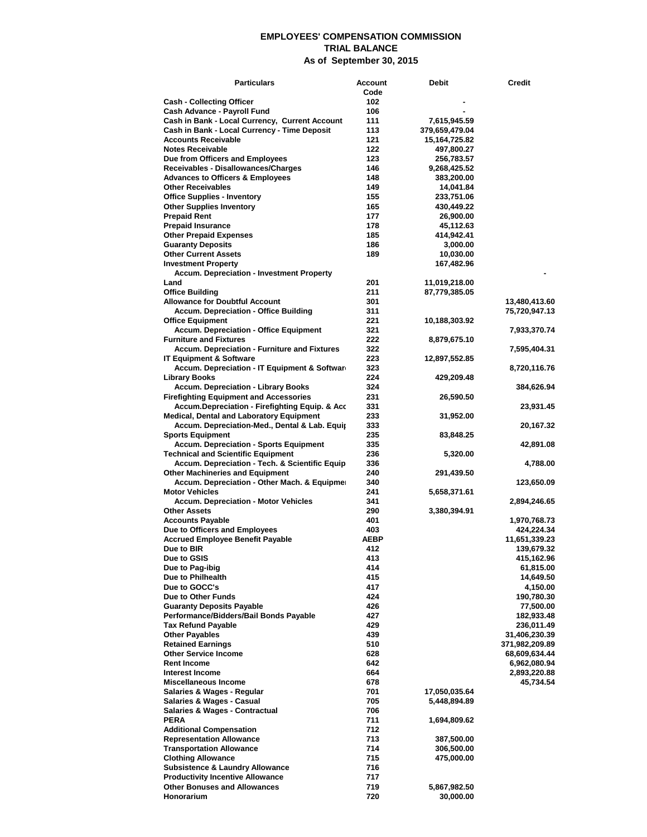## **EMPLOYEES' COMPENSATION COMMISSION TRIAL BALANCE As of September 30, 2015**

| <b>Particulars</b>                                                                        | Account    | Debit                   | Credit                    |
|-------------------------------------------------------------------------------------------|------------|-------------------------|---------------------------|
|                                                                                           | Code       |                         |                           |
| <b>Cash - Collecting Officer</b>                                                          | 102        |                         |                           |
| Cash Advance - Payroll Fund<br>Cash in Bank - Local Currency, Current Account             | 106<br>111 | 7,615,945.59            |                           |
| Cash in Bank - Local Currency - Time Deposit                                              | 113        | 379,659,479.04          |                           |
| <b>Accounts Receivable</b>                                                                | 121        | 15,164,725.82           |                           |
| <b>Notes Receivable</b>                                                                   | 122        | 497,800.27              |                           |
| Due from Officers and Employees                                                           | 123        | 256,783.57              |                           |
| Receivables - Disallowances/Charges                                                       | 146        | 9,268,425.52            |                           |
| <b>Advances to Officers &amp; Employees</b>                                               | 148        | 383,200.00              |                           |
| <b>Other Receivables</b><br><b>Office Supplies - Inventory</b>                            | 149<br>155 | 14,041.84<br>233,751.06 |                           |
| <b>Other Supplies Inventory</b>                                                           | 165        | 430,449.22              |                           |
| <b>Prepaid Rent</b>                                                                       | 177        | 26,900.00               |                           |
| <b>Prepaid Insurance</b>                                                                  | 178        | 45,112.63               |                           |
| <b>Other Prepaid Expenses</b>                                                             | 185        | 414,942.41              |                           |
| <b>Guaranty Deposits</b>                                                                  | 186        | 3,000.00                |                           |
| <b>Other Current Assets</b>                                                               | 189        | 10,030.00               |                           |
| <b>Investment Property</b><br><b>Accum. Depreciation - Investment Property</b>            |            | 167,482.96              |                           |
| Land                                                                                      | 201        | 11,019,218.00           |                           |
| <b>Office Building</b>                                                                    | 211        | 87,779,385.05           |                           |
| <b>Allowance for Doubtful Account</b>                                                     | 301        |                         | 13,480,413.60             |
| <b>Accum. Depreciation - Office Building</b>                                              | 311        |                         | 75,720,947.13             |
| <b>Office Equipment</b>                                                                   | 221        | 10,188,303.92           |                           |
| <b>Accum. Depreciation - Office Equipment</b>                                             | 321        |                         | 7,933,370.74              |
| <b>Furniture and Fixtures</b>                                                             | 222        | 8,879,675.10            |                           |
| <b>Accum. Depreciation - Furniture and Fixtures</b><br><b>IT Equipment &amp; Software</b> | 322<br>223 |                         | 7,595,404.31              |
| Accum. Depreciation - IT Equipment & Software                                             | 323        | 12,897,552.85           | 8,720,116.76              |
| <b>Library Books</b>                                                                      | 224        | 429,209.48              |                           |
| <b>Accum. Depreciation - Library Books</b>                                                | 324        |                         | 384,626.94                |
| <b>Firefighting Equipment and Accessories</b>                                             | 231        | 26,590.50               |                           |
| <b>Accum.Depreciation - Firefighting Equip. &amp; Acc</b>                                 | 331        |                         | 23,931.45                 |
| <b>Medical, Dental and Laboratory Equipment</b>                                           | 233        | 31,952.00               |                           |
| Accum. Depreciation-Med., Dental & Lab. Equip                                             | 333<br>235 |                         | 20,167.32                 |
| <b>Sports Equipment</b><br><b>Accum. Depreciation - Sports Equipment</b>                  | 335        | 83,848.25               | 42,891.08                 |
| <b>Technical and Scientific Equipment</b>                                                 | 236        | 5,320.00                |                           |
| Accum. Depreciation - Tech. & Scientific Equip                                            | 336        |                         | 4,788.00                  |
| <b>Other Machineries and Equipment</b>                                                    | 240        | 291,439.50              |                           |
| Accum. Depreciation - Other Mach. & Equipmer                                              | 340        |                         | 123,650.09                |
| <b>Motor Vehicles</b>                                                                     | 241        | 5,658,371.61            |                           |
| <b>Accum. Depreciation - Motor Vehicles</b><br><b>Other Assets</b>                        | 341<br>290 |                         | 2,894,246.65              |
| <b>Accounts Payable</b>                                                                   | 401        | 3,380,394.91            | 1,970,768.73              |
| Due to Officers and Employees                                                             | 403        |                         | 424,224.34                |
| <b>Accrued Employee Benefit Payable</b>                                                   | AEBP       |                         | 11,651,339.23             |
| Due to BIR                                                                                | 412        |                         | 139,679.32                |
| Due to GSIS                                                                               | 413        |                         | 415,162.96                |
| Due to Pag-ibig                                                                           | 414        |                         | 61,815.00                 |
| Due to Philhealth                                                                         | 415        |                         | 14,649.50                 |
| Due to GOCC's<br>Due to Other Funds                                                       | 417<br>424 |                         | 4,150.00<br>190,780.30    |
| <b>Guaranty Deposits Payable</b>                                                          | 426        |                         | 77,500.00                 |
| Performance/Bidders/Bail Bonds Payable                                                    | 427        |                         | 182,933.48                |
| <b>Tax Refund Payable</b>                                                                 | 429        |                         | 236,011.49                |
| <b>Other Payables</b>                                                                     | 439        |                         | 31,406,230.39             |
| <b>Retained Earnings</b>                                                                  | 510        |                         | 371,982,209.89            |
| <b>Other Service Income</b>                                                               | 628        |                         | 68,609,634.44             |
| <b>Rent Income</b>                                                                        | 642        |                         | 6,962,080.94              |
| <b>Interest Income</b><br><b>Miscellaneous Income</b>                                     | 664<br>678 |                         | 2,893,220.88<br>45,734.54 |
| Salaries & Wages - Regular                                                                | 701        | 17,050,035.64           |                           |
| Salaries & Wages - Casual                                                                 | 705        | 5,448,894.89            |                           |
| <b>Salaries &amp; Wages - Contractual</b>                                                 | 706        |                         |                           |
| <b>PERA</b>                                                                               | 711        | 1,694,809.62            |                           |
| <b>Additional Compensation</b>                                                            | 712        |                         |                           |
| <b>Representation Allowance</b>                                                           | 713        | 387,500.00              |                           |
| <b>Transportation Allowance</b>                                                           | 714        | 306,500.00              |                           |
| <b>Clothing Allowance</b><br><b>Subsistence &amp; Laundry Allowance</b>                   | 715<br>716 | 475,000.00              |                           |
| <b>Productivity Incentive Allowance</b>                                                   | 717        |                         |                           |
| <b>Other Bonuses and Allowances</b>                                                       | 719        | 5,867,982.50            |                           |
| Honorarium                                                                                | 720        | 30,000.00               |                           |